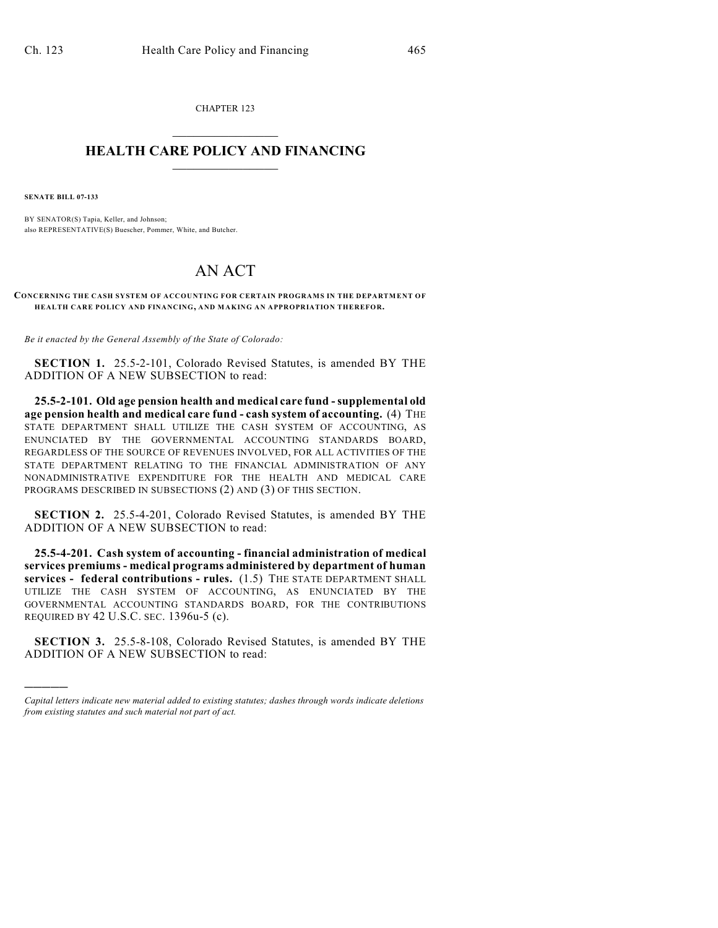CHAPTER 123  $\mathcal{L}_\text{max}$  . The set of the set of the set of the set of the set of the set of the set of the set of the set of the set of the set of the set of the set of the set of the set of the set of the set of the set of the set

## **HEALTH CARE POLICY AND FINANCING**  $\_$   $\_$   $\_$   $\_$   $\_$   $\_$   $\_$   $\_$

**SENATE BILL 07-133**

)))))

BY SENATOR(S) Tapia, Keller, and Johnson; also REPRESENTATIVE(S) Buescher, Pommer, White, and Butcher.

## AN ACT

**CONCERNING THE CASH SYSTEM OF ACCOUNTING FOR CERTAIN PROGRAMS IN THE DEPARTMENT OF HEALTH CARE POLICY AND FINANCING, AND MAKING AN APPROPRIATION THEREFOR.**

*Be it enacted by the General Assembly of the State of Colorado:*

**SECTION 1.** 25.5-2-101, Colorado Revised Statutes, is amended BY THE ADDITION OF A NEW SUBSECTION to read:

**25.5-2-101. Old age pension health and medical care fund - supplemental old age pension health and medical care fund - cash system of accounting.** (4) THE STATE DEPARTMENT SHALL UTILIZE THE CASH SYSTEM OF ACCOUNTING, AS ENUNCIATED BY THE GOVERNMENTAL ACCOUNTING STANDARDS BOARD, REGARDLESS OF THE SOURCE OF REVENUES INVOLVED, FOR ALL ACTIVITIES OF THE STATE DEPARTMENT RELATING TO THE FINANCIAL ADMINISTRATION OF ANY NONADMINISTRATIVE EXPENDITURE FOR THE HEALTH AND MEDICAL CARE PROGRAMS DESCRIBED IN SUBSECTIONS (2) AND (3) OF THIS SECTION.

**SECTION 2.** 25.5-4-201, Colorado Revised Statutes, is amended BY THE ADDITION OF A NEW SUBSECTION to read:

**25.5-4-201. Cash system of accounting - financial administration of medical services premiums - medical programs administered by department of human services - federal contributions - rules.** (1.5) THE STATE DEPARTMENT SHALL UTILIZE THE CASH SYSTEM OF ACCOUNTING, AS ENUNCIATED BY THE GOVERNMENTAL ACCOUNTING STANDARDS BOARD, FOR THE CONTRIBUTIONS REQUIRED BY 42 U.S.C. SEC. 1396u-5 (c).

**SECTION 3.** 25.5-8-108, Colorado Revised Statutes, is amended BY THE ADDITION OF A NEW SUBSECTION to read:

*Capital letters indicate new material added to existing statutes; dashes through words indicate deletions from existing statutes and such material not part of act.*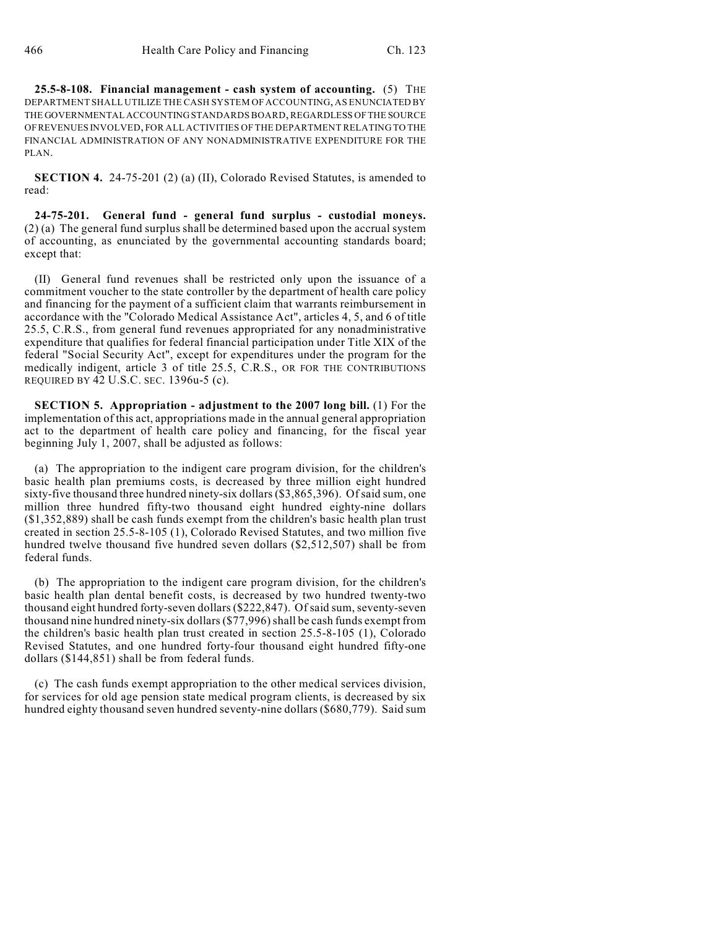**25.5-8-108. Financial management - cash system of accounting.** (5) THE DEPARTMENT SHALL UTILIZE THE CASH SYSTEM OF ACCOUNTING, AS ENUNCIATED BY THE GOVERNMENTAL ACCOUNTING STANDARDS BOARD, REGARDLESS OF THE SOURCE OF REVENUES INVOLVED, FOR ALL ACTIVITIES OF THE DEPARTMENT RELATING TO THE FINANCIAL ADMINISTRATION OF ANY NONADMINISTRATIVE EXPENDITURE FOR THE PLAN.

**SECTION 4.** 24-75-201 (2) (a) (II), Colorado Revised Statutes, is amended to read:

**24-75-201. General fund - general fund surplus - custodial moneys.** (2) (a) The general fund surplus shall be determined based upon the accrual system of accounting, as enunciated by the governmental accounting standards board; except that:

(II) General fund revenues shall be restricted only upon the issuance of a commitment voucher to the state controller by the department of health care policy and financing for the payment of a sufficient claim that warrants reimbursement in accordance with the "Colorado Medical Assistance Act", articles 4, 5, and 6 of title 25.5, C.R.S., from general fund revenues appropriated for any nonadministrative expenditure that qualifies for federal financial participation under Title XIX of the federal "Social Security Act", except for expenditures under the program for the medically indigent, article 3 of title 25.5, C.R.S., OR FOR THE CONTRIBUTIONS REQUIRED BY 42 U.S.C. SEC. 1396u-5 (c).

**SECTION 5. Appropriation - adjustment to the 2007 long bill.** (1) For the implementation of this act, appropriations made in the annual general appropriation act to the department of health care policy and financing, for the fiscal year beginning July 1, 2007, shall be adjusted as follows:

(a) The appropriation to the indigent care program division, for the children's basic health plan premiums costs, is decreased by three million eight hundred sixty-five thousand three hundred ninety-six dollars (\$3,865,396). Of said sum, one million three hundred fifty-two thousand eight hundred eighty-nine dollars (\$1,352,889) shall be cash funds exempt from the children's basic health plan trust created in section 25.5-8-105 (1), Colorado Revised Statutes, and two million five hundred twelve thousand five hundred seven dollars (\$2,512,507) shall be from federal funds.

(b) The appropriation to the indigent care program division, for the children's basic health plan dental benefit costs, is decreased by two hundred twenty-two thousand eight hundred forty-seven dollars (\$222,847). Of said sum, seventy-seven thousand nine hundred ninety-six dollars (\$77,996) shall be cash funds exempt from the children's basic health plan trust created in section 25.5-8-105 (1), Colorado Revised Statutes, and one hundred forty-four thousand eight hundred fifty-one dollars (\$144,851) shall be from federal funds.

(c) The cash funds exempt appropriation to the other medical services division, for services for old age pension state medical program clients, is decreased by six hundred eighty thousand seven hundred seventy-nine dollars (\$680,779). Said sum